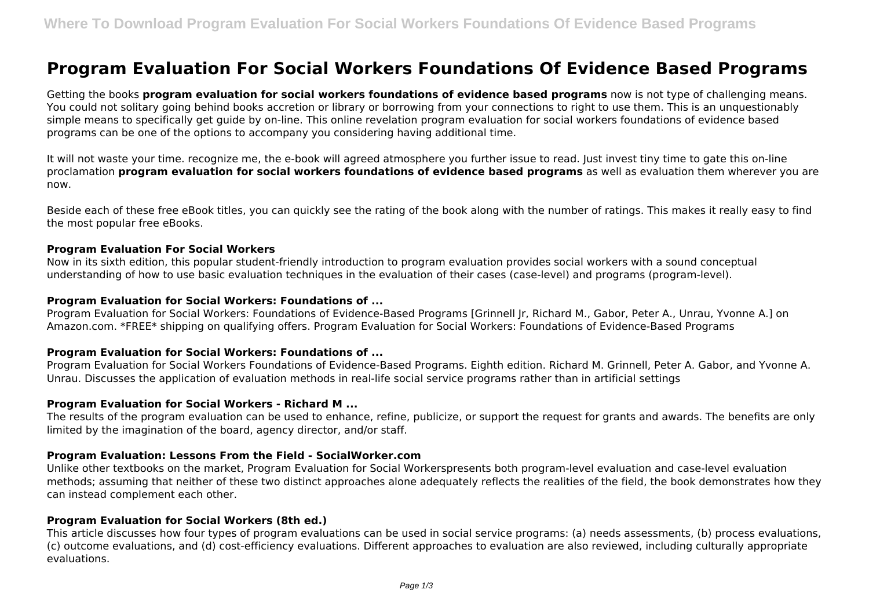# **Program Evaluation For Social Workers Foundations Of Evidence Based Programs**

Getting the books **program evaluation for social workers foundations of evidence based programs** now is not type of challenging means. You could not solitary going behind books accretion or library or borrowing from your connections to right to use them. This is an unquestionably simple means to specifically get guide by on-line. This online revelation program evaluation for social workers foundations of evidence based programs can be one of the options to accompany you considering having additional time.

It will not waste your time. recognize me, the e-book will agreed atmosphere you further issue to read. Just invest tiny time to gate this on-line proclamation **program evaluation for social workers foundations of evidence based programs** as well as evaluation them wherever you are now.

Beside each of these free eBook titles, you can quickly see the rating of the book along with the number of ratings. This makes it really easy to find the most popular free eBooks.

#### **Program Evaluation For Social Workers**

Now in its sixth edition, this popular student-friendly introduction to program evaluation provides social workers with a sound conceptual understanding of how to use basic evaluation techniques in the evaluation of their cases (case-level) and programs (program-level).

## **Program Evaluation for Social Workers: Foundations of ...**

Program Evaluation for Social Workers: Foundations of Evidence-Based Programs [Grinnell Jr, Richard M., Gabor, Peter A., Unrau, Yvonne A.] on Amazon.com. \*FREE\* shipping on qualifying offers. Program Evaluation for Social Workers: Foundations of Evidence-Based Programs

## **Program Evaluation for Social Workers: Foundations of ...**

Program Evaluation for Social Workers Foundations of Evidence-Based Programs. Eighth edition. Richard M. Grinnell, Peter A. Gabor, and Yvonne A. Unrau. Discusses the application of evaluation methods in real-life social service programs rather than in artificial settings

#### **Program Evaluation for Social Workers - Richard M ...**

The results of the program evaluation can be used to enhance, refine, publicize, or support the request for grants and awards. The benefits are only limited by the imagination of the board, agency director, and/or staff.

## **Program Evaluation: Lessons From the Field - SocialWorker.com**

Unlike other textbooks on the market, Program Evaluation for Social Workerspresents both program-level evaluation and case-level evaluation methods; assuming that neither of these two distinct approaches alone adequately reflects the realities of the field, the book demonstrates how they can instead complement each other.

#### **Program Evaluation for Social Workers (8th ed.)**

This article discusses how four types of program evaluations can be used in social service programs: (a) needs assessments, (b) process evaluations, (c) outcome evaluations, and (d) cost-efficiency evaluations. Different approaches to evaluation are also reviewed, including culturally appropriate evaluations.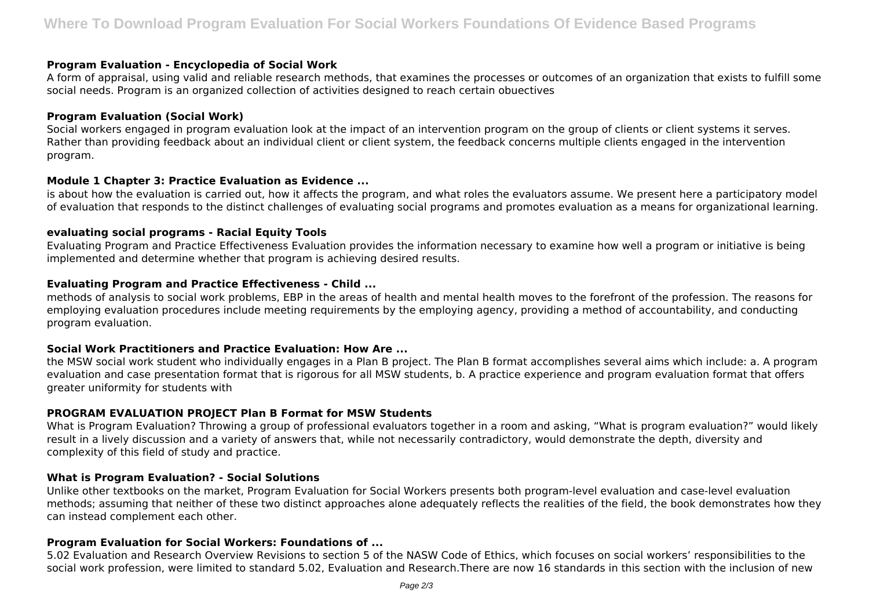## **Program Evaluation - Encyclopedia of Social Work**

A form of appraisal, using valid and reliable research methods, that examines the processes or outcomes of an organization that exists to fulfill some social needs. Program is an organized collection of activities designed to reach certain obuectives

### **Program Evaluation (Social Work)**

Social workers engaged in program evaluation look at the impact of an intervention program on the group of clients or client systems it serves. Rather than providing feedback about an individual client or client system, the feedback concerns multiple clients engaged in the intervention program.

## **Module 1 Chapter 3: Practice Evaluation as Evidence ...**

is about how the evaluation is carried out, how it affects the program, and what roles the evaluators assume. We present here a participatory model of evaluation that responds to the distinct challenges of evaluating social programs and promotes evaluation as a means for organizational learning.

## **evaluating social programs - Racial Equity Tools**

Evaluating Program and Practice Effectiveness Evaluation provides the information necessary to examine how well a program or initiative is being implemented and determine whether that program is achieving desired results.

# **Evaluating Program and Practice Effectiveness - Child ...**

methods of analysis to social work problems, EBP in the areas of health and mental health moves to the forefront of the profession. The reasons for employing evaluation procedures include meeting requirements by the employing agency, providing a method of accountability, and conducting program evaluation.

## **Social Work Practitioners and Practice Evaluation: How Are ...**

the MSW social work student who individually engages in a Plan B project. The Plan B format accomplishes several aims which include: a. A program evaluation and case presentation format that is rigorous for all MSW students, b. A practice experience and program evaluation format that offers greater uniformity for students with

## **PROGRAM EVALUATION PROJECT Plan B Format for MSW Students**

What is Program Evaluation? Throwing a group of professional evaluators together in a room and asking, "What is program evaluation?" would likely result in a lively discussion and a variety of answers that, while not necessarily contradictory, would demonstrate the depth, diversity and complexity of this field of study and practice.

## **What is Program Evaluation? - Social Solutions**

Unlike other textbooks on the market, Program Evaluation for Social Workers presents both program-level evaluation and case-level evaluation methods; assuming that neither of these two distinct approaches alone adequately reflects the realities of the field, the book demonstrates how they can instead complement each other.

## **Program Evaluation for Social Workers: Foundations of ...**

5.02 Evaluation and Research Overview Revisions to section 5 of the NASW Code of Ethics, which focuses on social workers' responsibilities to the social work profession, were limited to standard 5.02, Evaluation and Research.There are now 16 standards in this section with the inclusion of new